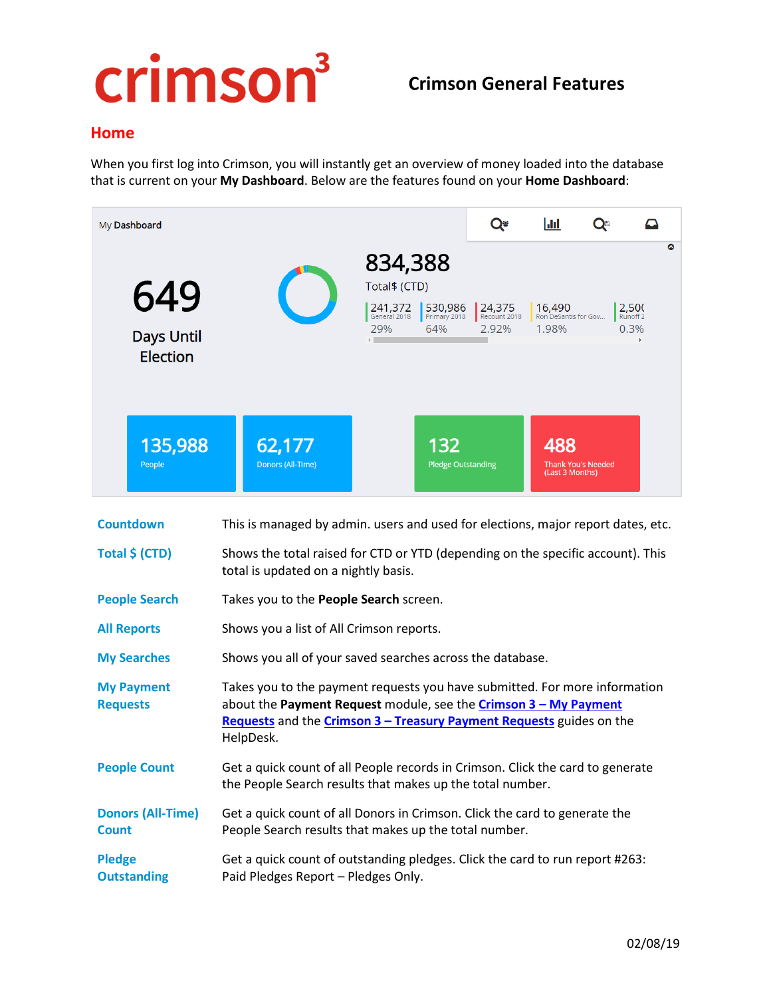# crimson<sup>3</sup>

## **Crimson General Features**

#### **Home**

When you first log into Crimson, you will instantly get an overview of money loaded into the database that is current on your **My Dashboard**. Below are the features found on your **Home Dashboard**:

| My Dashboard                                |                                                                                                                                                                                                                                     |                                                            | Q                               | $ $ dd                                  | Q <sup>B</sup>            | ≏                                         |
|---------------------------------------------|-------------------------------------------------------------------------------------------------------------------------------------------------------------------------------------------------------------------------------------|------------------------------------------------------------|---------------------------------|-----------------------------------------|---------------------------|-------------------------------------------|
| 649<br><b>Days Until</b><br><b>Election</b> | 241,372<br>General 2018<br>29%                                                                                                                                                                                                      | 834,388<br>Total\$ (CTD)<br>530,986<br>Primary 2018<br>64% | 24,375<br>Recount 2018<br>2.92% | 16,490<br>Ron DeSantis for Gov<br>1.98% |                           | ٥<br>2,500<br>Runoff <sub>2</sub><br>0.3% |
| 135,988<br>People                           | 62,177<br>Donors (All-Time)                                                                                                                                                                                                         | 132<br><b>Pledge Outstanding</b>                           |                                 | 488<br>(Last 3 Months)                  | <b>Thank You's Needed</b> |                                           |
| <b>Countdown</b>                            | This is managed by admin. users and used for elections, major report dates, etc.                                                                                                                                                    |                                                            |                                 |                                         |                           |                                           |
| Total \$ (CTD)                              | Shows the total raised for CTD or YTD (depending on the specific account). This<br>total is updated on a nightly basis.                                                                                                             |                                                            |                                 |                                         |                           |                                           |
| <b>People Search</b>                        | Takes you to the People Search screen.                                                                                                                                                                                              |                                                            |                                 |                                         |                           |                                           |
| <b>All Reports</b>                          | Shows you a list of All Crimson reports.                                                                                                                                                                                            |                                                            |                                 |                                         |                           |                                           |
| <b>My Searches</b>                          | Shows you all of your saved searches across the database.                                                                                                                                                                           |                                                            |                                 |                                         |                           |                                           |
| <b>My Payment</b><br><b>Requests</b>        | Takes you to the payment requests you have submitted. For more information<br>about the Payment Request module, see the Crimson 3 - My Payment<br>Requests and the Crimson 3 - Treasury Payment Requests guides on the<br>HelpDesk. |                                                            |                                 |                                         |                           |                                           |
| <b>People Count</b>                         | Get a quick count of all People records in Crimson. Click the card to generate<br>the People Search results that makes up the total number.                                                                                         |                                                            |                                 |                                         |                           |                                           |
| <b>Donors (All-Time)</b><br><b>Count</b>    | Get a quick count of all Donors in Crimson. Click the card to generate the<br>People Search results that makes up the total number.                                                                                                 |                                                            |                                 |                                         |                           |                                           |
| <b>Pledge</b><br><b>Outstanding</b>         | Get a quick count of outstanding pledges. Click the card to run report #263:<br>Paid Pledges Report - Pledges Only.                                                                                                                 |                                                            |                                 |                                         |                           |                                           |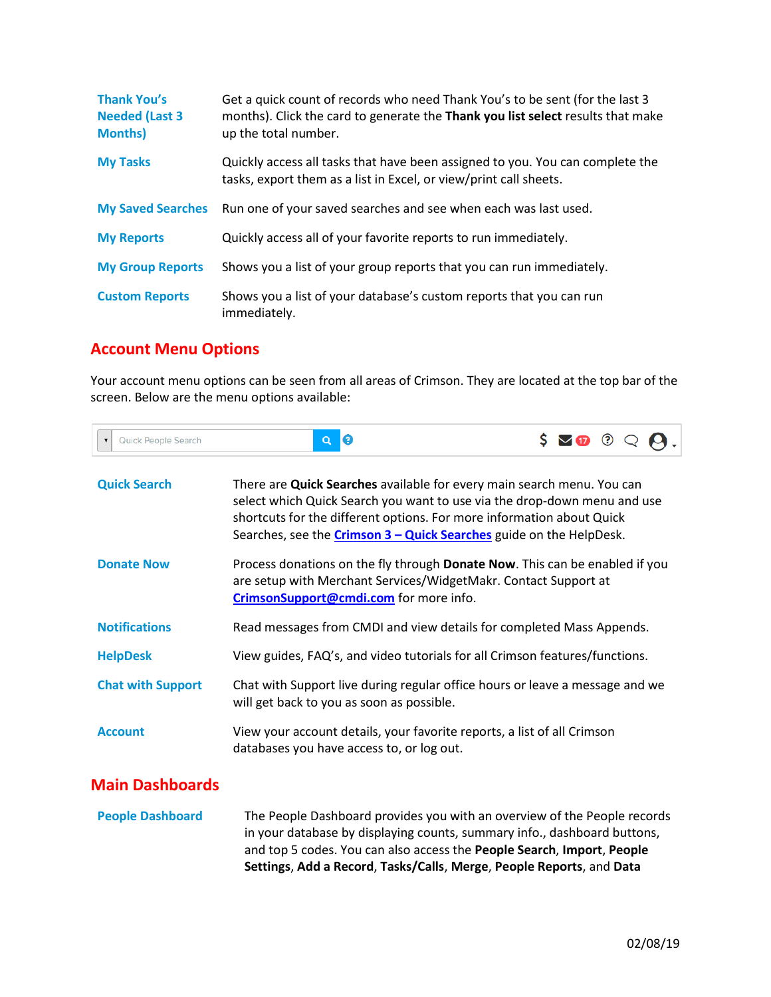| <b>Thank You's</b><br><b>Needed (Last 3</b><br><b>Months)</b> | Get a quick count of records who need Thank You's to be sent (for the last 3<br>months). Click the card to generate the Thank you list select results that make<br>up the total number. |
|---------------------------------------------------------------|-----------------------------------------------------------------------------------------------------------------------------------------------------------------------------------------|
| <b>My Tasks</b>                                               | Quickly access all tasks that have been assigned to you. You can complete the<br>tasks, export them as a list in Excel, or view/print call sheets.                                      |
| <b>My Saved Searches</b>                                      | Run one of your saved searches and see when each was last used.                                                                                                                         |
| <b>My Reports</b>                                             | Quickly access all of your favorite reports to run immediately.                                                                                                                         |
| <b>My Group Reports</b>                                       | Shows you a list of your group reports that you can run immediately.                                                                                                                    |
| <b>Custom Reports</b>                                         | Shows you a list of your database's custom reports that you can run<br>immediately.                                                                                                     |

# **Account Menu Options**

Your account menu options can be seen from all areas of Crimson. They are located at the top bar of the screen. Below are the menu options available:

| $\sim$ $\sim$ | Quick People Search |  | $\Omega$ $\Omega$<br>$S \vee T$ |  |
|---------------|---------------------|--|---------------------------------|--|
|---------------|---------------------|--|---------------------------------|--|

| <b>Quick Search</b>      | There are Quick Searches available for every main search menu. You can<br>select which Quick Search you want to use via the drop-down menu and use<br>shortcuts for the different options. For more information about Quick<br>Searches, see the <b>Crimson 3 - Quick Searches</b> guide on the HelpDesk. |
|--------------------------|-----------------------------------------------------------------------------------------------------------------------------------------------------------------------------------------------------------------------------------------------------------------------------------------------------------|
| <b>Donate Now</b>        | Process donations on the fly through <b>Donate Now</b> . This can be enabled if you<br>are setup with Merchant Services/WidgetMakr. Contact Support at<br>CrimsonSupport@cmdi.com for more info.                                                                                                          |
| <b>Notifications</b>     | Read messages from CMDI and view details for completed Mass Appends.                                                                                                                                                                                                                                      |
| <b>HelpDesk</b>          | View guides, FAQ's, and video tutorials for all Crimson features/functions.                                                                                                                                                                                                                               |
| <b>Chat with Support</b> | Chat with Support live during regular office hours or leave a message and we<br>will get back to you as soon as possible.                                                                                                                                                                                 |
| <b>Account</b>           | View your account details, your favorite reports, a list of all Crimson<br>databases you have access to, or log out.                                                                                                                                                                                      |

### **Main Dashboards**

|                         | Settings, Add a Record, Tasks/Calls, Merge, People Reports, and Data     |
|-------------------------|--------------------------------------------------------------------------|
|                         | and top 5 codes. You can also access the People Search, Import, People   |
|                         | in your database by displaying counts, summary info., dashboard buttons, |
| <b>People Dashboard</b> | The People Dashboard provides you with an overview of the People records |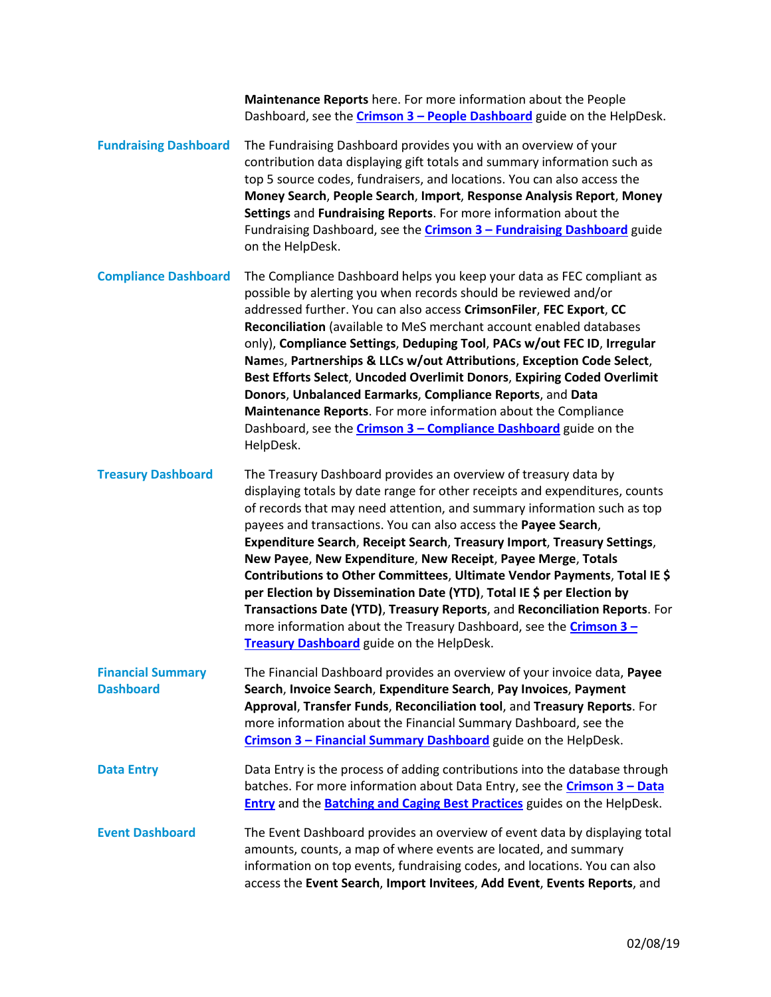|                                              | Maintenance Reports here. For more information about the People<br>Dashboard, see the <b>Crimson 3 - People Dashboard</b> guide on the HelpDesk.                                                                                                                                                                                                                                                                                                                                                                                                                                                                                                                                                                                                                                                   |
|----------------------------------------------|----------------------------------------------------------------------------------------------------------------------------------------------------------------------------------------------------------------------------------------------------------------------------------------------------------------------------------------------------------------------------------------------------------------------------------------------------------------------------------------------------------------------------------------------------------------------------------------------------------------------------------------------------------------------------------------------------------------------------------------------------------------------------------------------------|
| <b>Fundraising Dashboard</b>                 | The Fundraising Dashboard provides you with an overview of your<br>contribution data displaying gift totals and summary information such as<br>top 5 source codes, fundraisers, and locations. You can also access the<br>Money Search, People Search, Import, Response Analysis Report, Money<br>Settings and Fundraising Reports. For more information about the<br>Fundraising Dashboard, see the <b>Crimson 3 - Fundraising Dashboard</b> guide<br>on the HelpDesk.                                                                                                                                                                                                                                                                                                                            |
| <b>Compliance Dashboard</b>                  | The Compliance Dashboard helps you keep your data as FEC compliant as<br>possible by alerting you when records should be reviewed and/or<br>addressed further. You can also access CrimsonFiler, FEC Export, CC<br>Reconciliation (available to MeS merchant account enabled databases<br>only), Compliance Settings, Deduping Tool, PACs w/out FEC ID, Irregular<br>Names, Partnerships & LLCs w/out Attributions, Exception Code Select,<br>Best Efforts Select, Uncoded Overlimit Donors, Expiring Coded Overlimit<br>Donors, Unbalanced Earmarks, Compliance Reports, and Data<br>Maintenance Reports. For more information about the Compliance<br>Dashboard, see the <b>Crimson 3 - Compliance Dashboard</b> guide on the<br>HelpDesk.                                                       |
| <b>Treasury Dashboard</b>                    | The Treasury Dashboard provides an overview of treasury data by<br>displaying totals by date range for other receipts and expenditures, counts<br>of records that may need attention, and summary information such as top<br>payees and transactions. You can also access the Payee Search,<br>Expenditure Search, Receipt Search, Treasury Import, Treasury Settings,<br>New Payee, New Expenditure, New Receipt, Payee Merge, Totals<br>Contributions to Other Committees, Ultimate Vendor Payments, Total IE \$<br>per Election by Dissemination Date (YTD), Total IE \$ per Election by<br>Transactions Date (YTD), Treasury Reports, and Reconciliation Reports. For<br>more information about the Treasury Dashboard, see the <b>Crimson 3-</b><br>Treasury Dashboard guide on the HelpDesk. |
| <b>Financial Summary</b><br><b>Dashboard</b> | The Financial Dashboard provides an overview of your invoice data, Payee<br>Search, Invoice Search, Expenditure Search, Pay Invoices, Payment<br>Approval, Transfer Funds, Reconciliation tool, and Treasury Reports. For<br>more information about the Financial Summary Dashboard, see the<br>Crimson 3 - Financial Summary Dashboard guide on the HelpDesk.                                                                                                                                                                                                                                                                                                                                                                                                                                     |
| <b>Data Entry</b>                            | Data Entry is the process of adding contributions into the database through<br>batches. For more information about Data Entry, see the <b>Crimson 3 - Data</b><br><b>Entry</b> and the <b>Batching and Caging Best Practices</b> guides on the HelpDesk.                                                                                                                                                                                                                                                                                                                                                                                                                                                                                                                                           |
| <b>Event Dashboard</b>                       | The Event Dashboard provides an overview of event data by displaying total<br>amounts, counts, a map of where events are located, and summary<br>information on top events, fundraising codes, and locations. You can also<br>access the Event Search, Import Invitees, Add Event, Events Reports, and                                                                                                                                                                                                                                                                                                                                                                                                                                                                                             |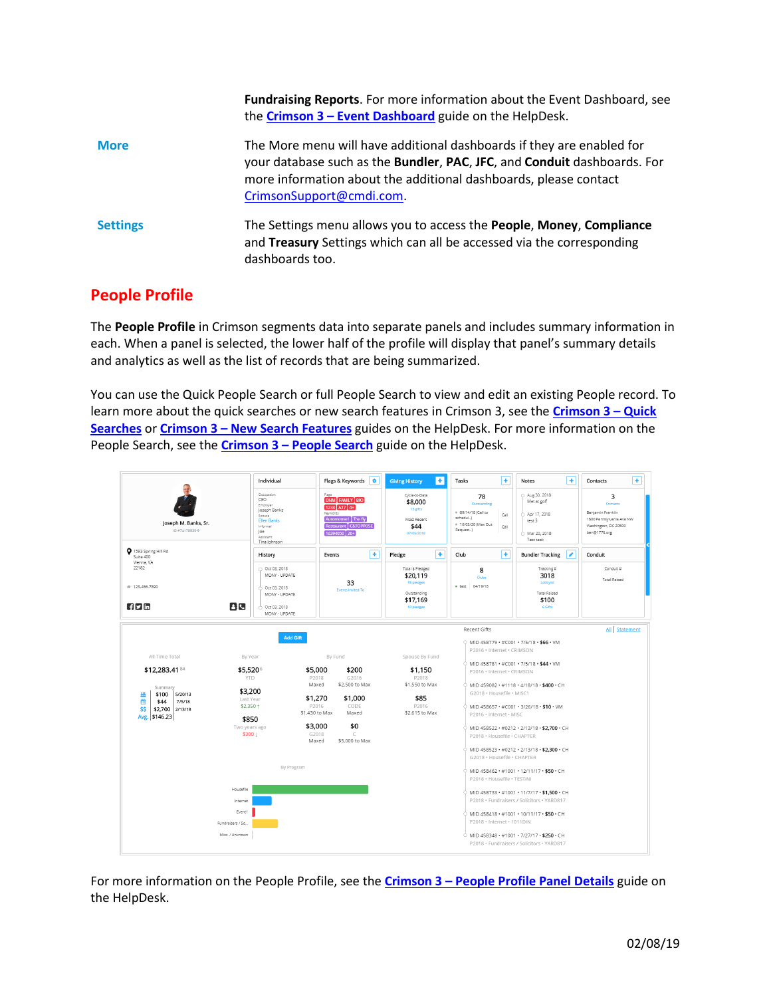|                 | <b>Fundraising Reports.</b> For more information about the Event Dashboard, see<br>the Crimson $3$ – Event Dashboard guide on the HelpDesk.                                                                                                       |
|-----------------|---------------------------------------------------------------------------------------------------------------------------------------------------------------------------------------------------------------------------------------------------|
| <b>More</b>     | The More menu will have additional dashboards if they are enabled for<br>your database such as the Bundler, PAC, JFC, and Conduit dashboards. For<br>more information about the additional dashboards, please contact<br>CrimsonSupport@cmdi.com. |
| <b>Settings</b> | The Settings menu allows you to access the <b>People, Money, Compliance</b><br>and Treasury Settings which can all be accessed via the corresponding<br>dashboards too.                                                                           |

#### **People Profile**

The **People Profile** in Crimson segments data into separate panels and includes summary information in each. When a panel is selected, the lower half of the profile will display that panel's summary details and analytics as well as the list of records that are being summarized.

You can use the Quick People Search or full People Search to view and edit an existing People record. To learn more about the quick searches or new search features in Crimson 3, see the **[Crimson 3](https://support.cmdi.com/hc/en-us/articles/360018142851-Crimson-3-Quick-Searches) – Quick [Searches](https://support.cmdi.com/hc/en-us/articles/360018142851-Crimson-3-Quick-Searches)** or **Crimson 3 – [New Search Features](https://support.cmdi.com/hc/en-us/articles/360016785451-Crimson-3-New-Search-Features)** guides on the HelpDesk. For more information on the People Search, see the **Crimson 3 – [People Search](https://support.cmdi.com/hc/en-us/articles/360018143731-Crimson-3-People-Search)** guide on the HelpDesk.



For more information on the People Profile, see the **Crimson 3 – [People Profile Panel Details](https://support.cmdi.com/hc/en-us/articles/360022889072-Crimson-3-People-Profile-Panel-Detials)** guide on the HelpDesk.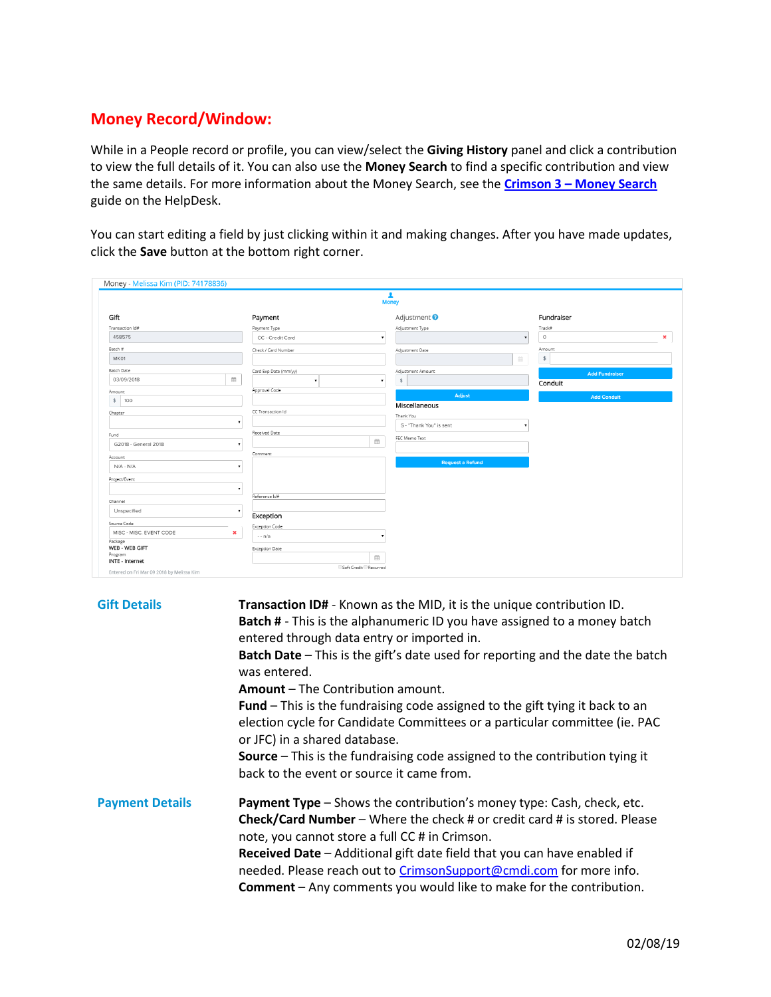## **Money Record/Window:**

While in a People record or profile, you can view/select the **Giving History** panel and click a contribution to view the full details of it. You can also use the **Money Search** to find a specific contribution and view the same details. For more information about the Money Search, see the **Crimson 3 – Money Search** guide on the HelpDesk.

You can start editing a field by just clicking within it and making changes. After you have made updates, click the **Save** button at the bottom right corner.

|                            |                                         | $\overline{\mathbf{r}}$ |                                 |   |
|----------------------------|-----------------------------------------|-------------------------|---------------------------------|---|
|                            |                                         | <b>Money</b>            |                                 |   |
| Gift                       | Payment                                 | Adjustment <sup>9</sup> | Fundraiser                      |   |
| Transaction Id#            | Payment Type                            | Adjustment Type         | Track#                          |   |
| 458575                     | CC - Credit Card                        | $\pmb{\mathrm{v}}$      | $\circ$<br>$\blacktriangledown$ | × |
| Batch #                    | Check / Card Number                     | Adjustment Date         | Amount                          |   |
| MK01                       |                                         |                         | 曲<br>\$                         |   |
| <b>Batch Date</b>          | Card Exp Date (mm/yy)                   | Adjustment Amount       | <b>Add Fundraiser</b>           |   |
| 03/09/2018                 | $\widehat{\boxplus}$<br>$\mathbf{v}$    | \$<br>۰                 | Conduit                         |   |
| Amount                     | Approval Code                           | Adjust                  | <b>Add Conduit</b>              |   |
| \$100                      |                                         | Miscellaneous           |                                 |   |
| Chapter                    | CC Transaction Id                       | Thank You               |                                 |   |
|                            | $\pmb{\mathrm{v}}$                      | S - "Thank You" is sent |                                 |   |
| Fund                       | Received Date                           | FEC Memo Text           |                                 |   |
| G2018 - General 2018       |                                         | ₩                       |                                 |   |
| Account                    | Comment                                 |                         |                                 |   |
| $N/A - N/A$                |                                         | <b>Request a Refund</b> |                                 |   |
| Project/Event              |                                         |                         |                                 |   |
|                            |                                         |                         |                                 |   |
| Channel                    | Reference Id#                           |                         |                                 |   |
| Unspecified                | ٠                                       |                         |                                 |   |
| Source Code                | Exception                               |                         |                                 |   |
| MISC - MISC. EVENT CODE    | <b>Exception Code</b><br>$\pmb{\times}$ |                         |                                 |   |
| Package                    | - - n/a                                 |                         |                                 |   |
| WEB - WEB GIFT             | Exception Date                          |                         |                                 |   |
| Program<br>INTE - Internet |                                         | 篇                       |                                 |   |

| <b>Gift Details</b>    | <b>Transaction ID#</b> - Known as the MID, it is the unique contribution ID.<br><b>Batch #</b> - This is the alphanumeric ID you have assigned to a money batch<br>entered through data entry or imported in.<br><b>Batch Date</b> – This is the gift's date used for reporting and the date the batch<br>was entered.<br><b>Amount</b> – The Contribution amount.<br><b>Fund</b> – This is the fundraising code assigned to the gift tying it back to an<br>election cycle for Candidate Committees or a particular committee (ie. PAC<br>or JFC) in a shared database.<br><b>Source</b> - This is the fundraising code assigned to the contribution tying it<br>back to the event or source it came from. |
|------------------------|-------------------------------------------------------------------------------------------------------------------------------------------------------------------------------------------------------------------------------------------------------------------------------------------------------------------------------------------------------------------------------------------------------------------------------------------------------------------------------------------------------------------------------------------------------------------------------------------------------------------------------------------------------------------------------------------------------------|
| <b>Payment Details</b> | <b>Payment Type</b> – Shows the contribution's money type: Cash, check, etc.<br>Check/Card Number - Where the check # or credit card # is stored. Please<br>note, you cannot store a full CC # in Crimson.<br><b>Received Date</b> – Additional gift date field that you can have enabled if<br>needed. Please reach out to CrimsonSupport@cmdi.com for more info.<br><b>Comment</b> $-$ Any comments you would like to make for the contribution.                                                                                                                                                                                                                                                          |